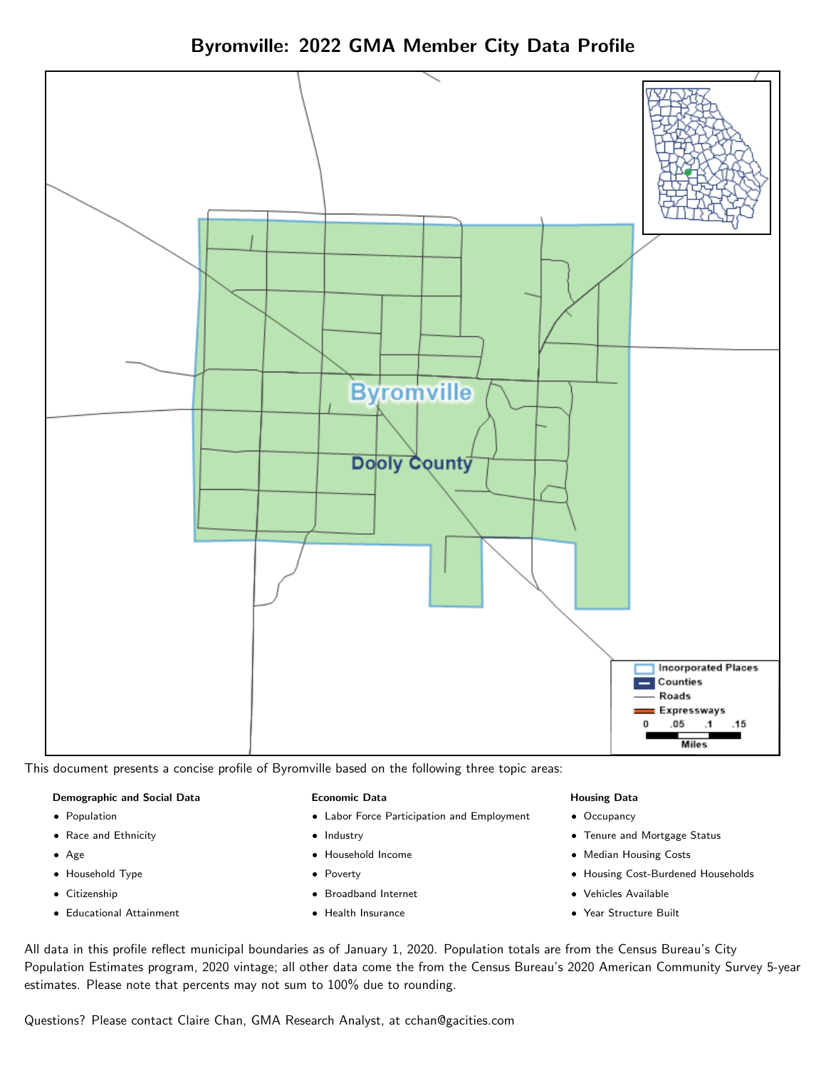



This document presents a concise profile of Byromville based on the following three topic areas:

#### Demographic and Social Data

- **•** Population
- Race and Ethnicity
- Age
- Household Type
- **Citizenship**
- Educational Attainment

#### Economic Data

- Labor Force Participation and Employment
- Industry
- Household Income
- Poverty
- Broadband Internet
- Health Insurance

#### Housing Data

- Occupancy
- Tenure and Mortgage Status
- Median Housing Costs
- Housing Cost-Burdened Households
- Vehicles Available
- Year Structure Built

All data in this profile reflect municipal boundaries as of January 1, 2020. Population totals are from the Census Bureau's City Population Estimates program, 2020 vintage; all other data come the from the Census Bureau's 2020 American Community Survey 5-year estimates. Please note that percents may not sum to 100% due to rounding.

Questions? Please contact Claire Chan, GMA Research Analyst, at [cchan@gacities.com.](mailto:cchan@gacities.com)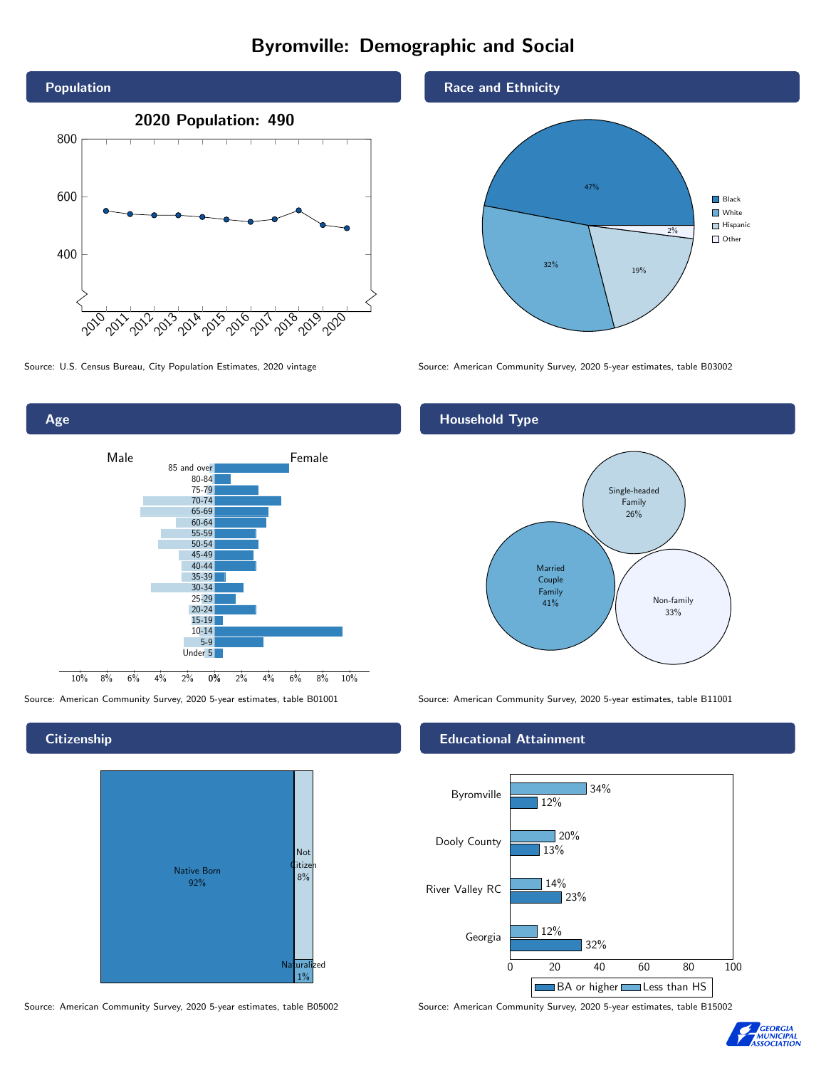# Byromville: Demographic and Social





**Citizenship** 



Source: American Community Survey, 2020 5-year estimates, table B05002 Source: American Community Survey, 2020 5-year estimates, table B15002

### Race and Ethnicity



Source: U.S. Census Bureau, City Population Estimates, 2020 vintage Source: American Community Survey, 2020 5-year estimates, table B03002

# Household Type



Source: American Community Survey, 2020 5-year estimates, table B01001 Source: American Community Survey, 2020 5-year estimates, table B11001

#### Educational Attainment



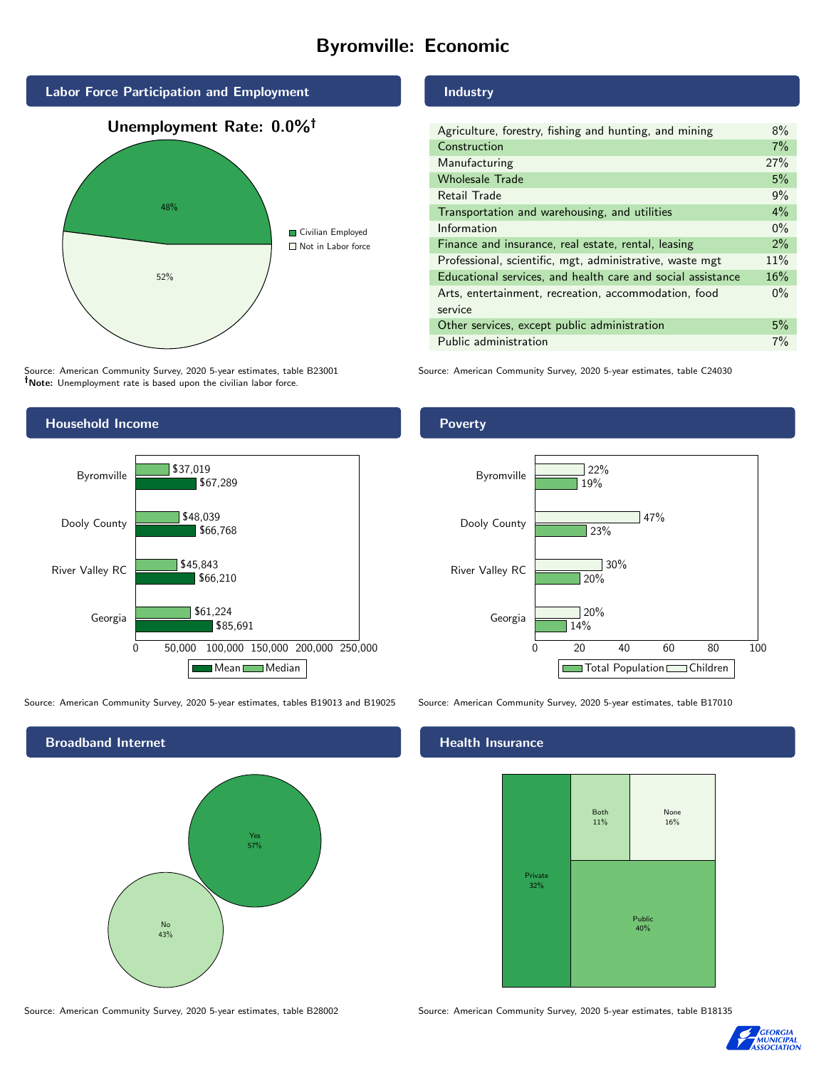# Byromville: Economic



Source: American Community Survey, 2020 5-year estimates, table B23001 Note: Unemployment rate is based upon the civilian labor force.

#### Industry

Source: American Community Survey, 2020 5-year estimates, table C24030



Source: American Community Survey, 2020 5-year estimates, tables B19013 and B19025 Source: American Community Survey, 2020 5-year estimates, table B17010

Broadband Internet No 43% Yes 57%

#### Health Insurance



Source: American Community Survey, 2020 5-year estimates, table B28002 Source: American Community Survey, 2020 5-year estimates, table B18135



### Poverty